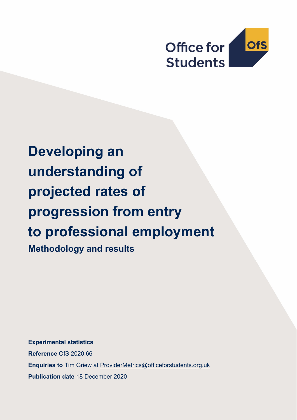

# **Developing an understanding of projected rates of progression from entry to professional employment Methodology and results**

**Experimental statistics Reference** OfS 2020.66 **Enquiries to** Tim Griew at [ProviderMetrics@officeforstudents.org.uk](mailto:ProviderMetrics@officeforstudents.org.uk) **Publication date** 18 December 2020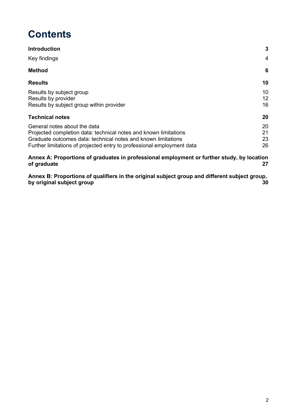# **Contents**

| <b>Introduction</b>                                                                                                                                                                                                                         | 3                    |
|---------------------------------------------------------------------------------------------------------------------------------------------------------------------------------------------------------------------------------------------|----------------------|
| Key findings                                                                                                                                                                                                                                | 4                    |
| <b>Method</b>                                                                                                                                                                                                                               | 6                    |
| <b>Results</b>                                                                                                                                                                                                                              | 10                   |
| Results by subject group<br>Results by provider<br>Results by subject group within provider                                                                                                                                                 | 10<br>12<br>16       |
| <b>Technical notes</b>                                                                                                                                                                                                                      | 20                   |
| General notes about the data<br>Projected completion data: technical notes and known limitations<br>Graduate outcomes data: technical notes and known limitations<br>Further limitations of projected entry to professional employment data | 20<br>21<br>23<br>26 |

**[Annex A: Proportions of graduates in professional employment or further study, by location](#page-26-0)  [of graduate](#page-26-0) 27**

**[Annex B: Proportions of qualifiers in the original subject group and different subject group,](#page-29-0)  [by original subject group](#page-29-0) 30**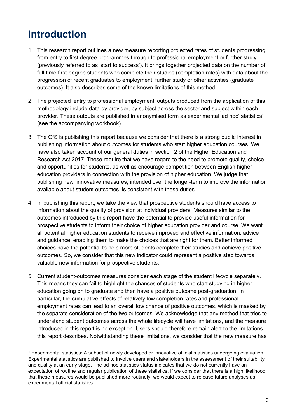# <span id="page-2-0"></span>**Introduction**

- 1. This research report outlines a new measure reporting projected rates of students progressing from entry to first degree programmes through to professional employment or further study (previously referred to as 'start to success'). It brings together projected data on the number of full-time first-degree students who complete their studies (completion rates) with data about the progression of recent graduates to employment, further study or other activities (graduate outcomes). It also describes some of the known limitations of this method.
- 2. The projected 'entry to professional employment' outputs produced from the application of this methodology include data by provider, by subject across the sector and subject within each provider. These outputs are published in anonymised form as experimental 'ad hoc' statistics<sup>1</sup> (see the accompanying workbook).
- 3. The OfS is publishing this report because we consider that there is a strong public interest in publishing information about outcomes for students who start higher education courses. We have also taken account of our general duties in section 2 of the Higher Education and Research Act 2017. These require that we have regard to the need to promote quality, choice and opportunities for students, as well as encourage competition between English higher education providers in connection with the provision of higher education. We judge that publishing new, innovative measures, intended over the longer-term to improve the information available about student outcomes, is consistent with these duties.
- 4. In publishing this report, we take the view that prospective students should have access to information about the quality of provision at individual providers. Measures similar to the outcomes introduced by this report have the potential to provide useful information for prospective students to inform their choice of higher education provider and course. We want all potential higher education students to receive improved and effective information, advice and guidance, enabling them to make the choices that are right for them. Better informed choices have the potential to help more students complete their studies and achieve positive outcomes. So, we consider that this new indicator could represent a positive step towards valuable new information for prospective students.
- 5. Current student-outcomes measures consider each stage of the student lifecycle separately. This means they can fail to highlight the chances of students who start studying in higher education going on to graduate and then have a positive outcome post-graduation. In particular, the cumulative effects of relatively low completion rates and professional employment rates can lead to an overall low chance of positive outcomes, which is masked by the separate consideration of the two outcomes. We acknowledge that any method that tries to understand student outcomes across the whole lifecycle will have limitations, and the measure introduced in this report is no exception. Users should therefore remain alert to the limitations this report describes. Notwithstanding these limitations, we consider that the new measure has

<sup>1</sup> Experimental statistics: A subset of newly developed or innovative official statistics undergoing evaluation. Experimental statistics are published to involve users and stakeholders in the assessment of their suitability and quality at an early stage. The ad hoc statistics status indicates that we do not currently have an expectation of routine and regular publication of these statistics. If we consider that there is a high likelihood that these measures would be published more routinely, we would expect to release future analyses as experimental official statistics.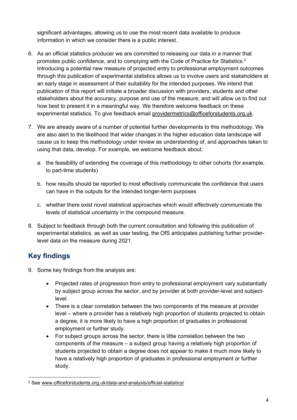significant advantages, allowing us to use the most recent data available to produce information in which we consider there is a public interest.

- 6. As an official statistics producer we are committed to releasing our data in a manner that promotes public confidence, and to complying with the Code of Practice for Statistics.<sup>2</sup> Introducing a potential new measure of projected entry to professional employment outcomes through this publication of experimental statistics allows us to involve users and stakeholders at an early stage in assessment of their suitability for the intended purposes. We intend that publication of this report will initiate a broader discussion with providers, students and other stakeholders about the accuracy, purpose and use of the measure, and will allow us to find out how best to present it in a meaningful way. We therefore welcome feedback on these experimental statistics. To give feedback email [providermetrics@officeforstudents.org.uk.](mailto:providermetrics@officeforstudents.org.uk)
- 7. We are already aware of a number of potential further developments to this methodology. We are also alert to the likelihood that wider changes in the higher education data landscape will cause us to keep this methodology under review as understanding of, and approaches taken to using that data, develop. For example, we welcome feedback about:
	- a. the feasibility of extending the coverage of this methodology to other cohorts (for example, to part-time students)
	- b. how results should be reported to most effectively communicate the confidence that users can have in the outputs for the intended longer-term purposes
	- c. whether there exist novel statistical approaches which would effectively communicate the levels of statistical uncertainty in the compound measure.
- 8. Subject to feedback through both the current consultation and following this publication of experimental statistics, as well as user testing, the OfS anticipates publishing further providerlevel data on the measure during 2021.

## <span id="page-3-0"></span>**Key findings**

- 9. Some key findings from the analysis are:
	- Projected rates of progression from entry to professional employment vary substantially by subject group across the sector, and by provider at both provider-level and subjectlevel.
	- There is a clear correlation between the two components of the measure at provider level – where a provider has a relatively high proportion of students projected to obtain a degree, it is more likely to have a high proportion of graduates in professional employment or further study.
	- For subject groups across the sector, there is little correlation between the two components of the measure – a subject group having a relatively high proportion of students projected to obtain a degree does not appear to make it much more likely to have a relatively high proportion of graduates in professional employment or further study.

<sup>2</sup> See [www.officeforstudents.org.uk/data-and-analysis/official-statistics/](http://www.officeforstudents.org.uk/data-and-analysis/official-statistics/)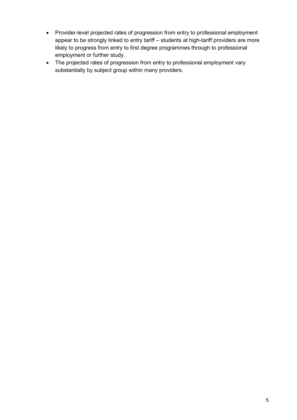- Provider-level projected rates of progression from entry to professional employment appear to be strongly linked to entry tariff – students at high-tariff providers are more likely to progress from entry to first degree programmes through to professional employment or further study.
- The projected rates of progression from entry to professional employment vary substantially by subject group within many providers.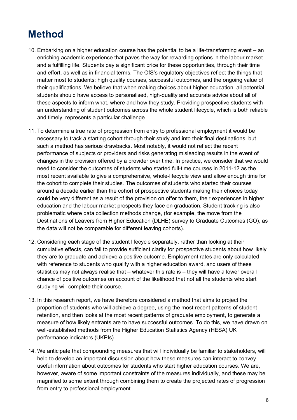# <span id="page-5-0"></span>**Method**

- 10. Embarking on a higher education course has the potential to be a life-transforming event an enriching academic experience that paves the way for rewarding options in the labour market and a fulfilling life. Students pay a significant price for these opportunities, through their time and effort, as well as in financial terms. The OfS's regulatory objectives reflect the things that matter most to students: high quality courses, successful outcomes, and the ongoing value of their qualifications. We believe that when making choices about higher education, all potential students should have access to personalised, high-quality and accurate advice about all of these aspects to inform what, where and how they study. Providing prospective students with an understanding of student outcomes across the whole student lifecycle, which is both reliable and timely, represents a particular challenge.
- 11. To determine a true rate of progression from entry to professional employment it would be necessary to track a starting cohort through their study and into their final destinations, but such a method has serious drawbacks. Most notably, it would not reflect the recent performance of subjects or providers and risks generating misleading results in the event of changes in the provision offered by a provider over time. In practice, we consider that we would need to consider the outcomes of students who started full-time courses in 2011-12 as the most recent available to give a comprehensive, whole-lifecycle view and allow enough time for the cohort to complete their studies. The outcomes of students who started their courses around a decade earlier than the cohort of prospective students making their choices today could be very different as a result of the provision on offer to them, their experiences in higher education and the labour market prospects they face on graduation. Student tracking is also problematic where data collection methods change, (for example, the move from the Destinations of Leavers from Higher Education (DLHE) survey to Graduate Outcomes (GO), as the data will not be comparable for different leaving cohorts).
- 12. Considering each stage of the student lifecycle separately, rather than looking at their cumulative effects, can fail to provide sufficient clarity for prospective students about how likely they are to graduate and achieve a positive outcome. Employment rates are only calculated with reference to students who qualify with a higher education award, and users of these statistics may not always realise that – whatever this rate is – they will have a lower overall chance of positive outcomes on account of the likelihood that not all the students who start studying will complete their course.
- 13. In this research report, we have therefore considered a method that aims to project the proportion of students who will achieve a degree, using the most recent patterns of student retention, and then looks at the most recent patterns of graduate employment, to generate a measure of how likely entrants are to have successful outcomes. To do this, we have drawn on well-established methods from the Higher Education Statistics Agency (HESA) UK performance indicators (UKPIs).
- 14. We anticipate that compounding measures that will individually be familiar to stakeholders, will help to develop an important discussion about how these measures can interact to convey useful information about outcomes for students who start higher education courses. We are, however, aware of some important constraints of the measures individually, and these may be magnified to some extent through combining them to create the projected rates of progression from entry to professional employment.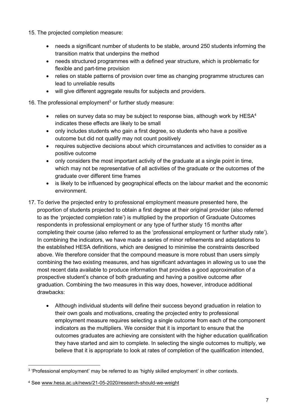15. The projected completion measure:

- needs a significant number of students to be stable, around 250 students informing the transition matrix that underpins the method
- needs structured programmes with a defined year structure, which is problematic for flexible and part-time provision
- relies on stable patterns of provision over time as changing programme structures can lead to unreliable results
- will give different aggregate results for subjects and providers.

16. The professional employment<sup>3</sup> or further study measure:

- relies on survey data so may be subject to response bias, although work by  $HESA<sup>4</sup>$ indicates these effects are likely to be small
- only includes students who gain a first degree, so students who have a positive outcome but did not qualify may not count positively
- requires subjective decisions about which circumstances and activities to consider as a positive outcome
- only considers the most important activity of the graduate at a single point in time, which may not be representative of all activities of the graduate or the outcomes of the graduate over different time frames
- is likely to be influenced by geographical effects on the labour market and the economic environment.
- 17. To derive the projected entry to professional employment measure presented here, the proportion of students projected to obtain a first degree at their original provider (also referred to as the 'projected completion rate') is multiplied by the proportion of Graduate Outcomes respondents in professional employment or any type of further study 15 months after completing their course (also referred to as the 'professional employment or further study rate'). In combining the indicators, we have made a series of minor refinements and adaptations to the established HESA definitions, which are designed to minimise the constraints described above. We therefore consider that the compound measure is more robust than users simply combining the two existing measures, and has significant advantages in allowing us to use the most recent data available to produce information that provides a good approximation of a prospective student's chance of both graduating and having a positive outcome after graduation. Combining the two measures in this way does, however, introduce additional drawbacks:
	- Although individual students will define their success beyond graduation in relation to their own goals and motivations, creating the projected entry to professional employment measure requires selecting a single outcome from each of the component indicators as the multipliers. We consider that it is important to ensure that the outcomes graduates are achieving are consistent with the higher education qualification they have started and aim to complete. In selecting the single outcomes to multiply, we believe that it is appropriate to look at rates of completion of the qualification intended,

 $\rm ^3$  'Professional employment' may be referred to as 'highly skilled employment' in other contexts.

<sup>4</sup> See [www.hesa.ac.uk/news/21-05-2020/research-should-we-weight](http://www.hesa.ac.uk/news/21-05-2020/research-should-we-weight)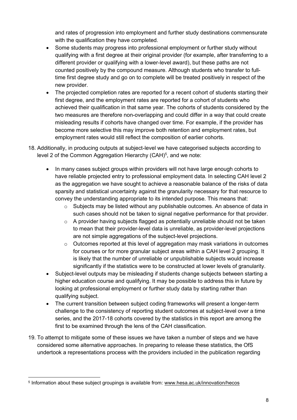and rates of progression into employment and further study destinations commensurate with the qualification they have completed.

- Some students may progress into professional employment or further study without qualifying with a first degree at their original provider (for example, after transferring to a different provider or qualifying with a lower-level award), but these paths are not counted positively by the compound measure. Although students who transfer to fulltime first degree study and go on to complete will be treated positively in respect of the new provider.
- The projected completion rates are reported for a recent cohort of students starting their first degree, and the employment rates are reported for a cohort of students who achieved their qualification in that same year. The cohorts of students considered by the two measures are therefore non-overlapping and could differ in a way that could create misleading results if cohorts have changed over time. For example, if the provider has become more selective this may improve both retention and employment rates, but employment rates would still reflect the composition of earlier cohorts.
- 18. Additionally, in producing outputs at subject-level we have categorised subjects according to level 2 of the Common Aggregation Hierarchy (CAH)<sup>5</sup>, and we note:
	- In many cases subject groups within providers will not have large enough cohorts to have reliable projected entry to professional employment data. In selecting CAH level 2 as the aggregation we have sought to achieve a reasonable balance of the risks of data sparsity and statistical uncertainty against the granularity necessary for that resource to convey the understanding appropriate to its intended purpose. This means that:
		- $\circ$  Subjects may be listed without any publishable outcomes. An absence of data in such cases should not be taken to signal negative performance for that provider.
		- $\circ$  A provider having subjects flagged as potentially unreliable should not be taken to mean that their provider-level data is unreliable, as provider-level projections are not simple aggregations of the subject-level projections.
		- $\circ$  Outcomes reported at this level of aggregation may mask variations in outcomes for courses or for more granular subject areas within a CAH level 2 grouping. It is likely that the number of unreliable or unpublishable subjects would increase significantly if the statistics were to be constructed at lower levels of granularity.
	- Subject-level outputs may be misleading if students change subjects between starting a higher education course and qualifying. It may be possible to address this in future by looking at professional employment or further study data by starting rather than qualifying subject.
	- The current transition between subject coding frameworks will present a longer-term challenge to the consistency of reporting student outcomes at subject-level over a time series, and the 2017-18 cohorts covered by the statistics in this report are among the first to be examined through the lens of the CAH classification.
- 19. To attempt to mitigate some of these issues we have taken a number of steps and we have considered some alternative approaches. In preparing to release these statistics, the OfS undertook a representations process with the providers included in the publication regarding

<sup>&</sup>lt;sup>5</sup> Information about these subject groupings is available from: <u>www.hesa.ac.uk/innovation/hecos</u>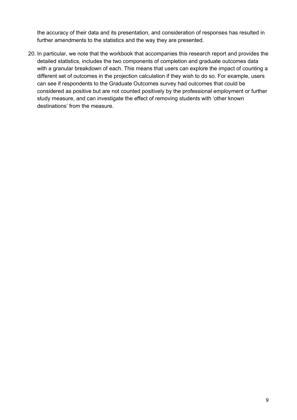the accuracy of their data and its presentation, and consideration of responses has resulted in further amendments to the statistics and the way they are presented.

20. In particular, we note that the workbook that accompanies this research report and provides the detailed statistics, includes the two components of completion and graduate outcomes data with a granular breakdown of each. This means that users can explore the impact of counting a different set of outcomes in the projection calculation if they wish to do so. For example, users can see if respondents to the Graduate Outcomes survey had outcomes that could be considered as positive but are not counted positively by the professional employment or further study measure, and can investigate the effect of removing students with 'other known destinations' from the measure.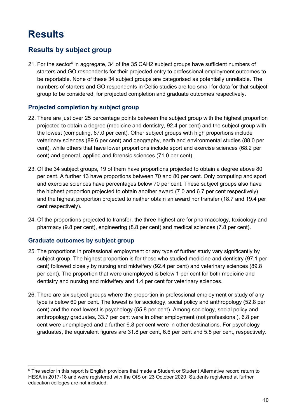# <span id="page-9-0"></span>**Results**

### <span id="page-9-1"></span>**Results by subject group**

21. For the sector<sup>6</sup> in aggregate, 34 of the 35 CAH2 subject groups have sufficient numbers of starters and GO respondents for their projected entry to professional employment outcomes to be reportable. None of these 34 subject groups are categorised as potentially unreliable. The numbers of starters and GO respondents in Celtic studies are too small for data for that subject group to be considered, for projected completion and graduate outcomes respectively.

#### **Projected completion by subject group**

- 22. There are just over 25 percentage points between the subject group with the highest proportion projected to obtain a degree (medicine and dentistry, 92.4 per cent) and the subject group with the lowest (computing, 67.0 per cent). Other subject groups with high proportions include veterinary sciences (89.6 per cent) and geography, earth and environmental studies (88.0 per cent), while others that have lower proportions include sport and exercise sciences (68.2 per cent) and general, applied and forensic sciences (71.0 per cent).
- 23. Of the 34 subject groups, 19 of them have proportions projected to obtain a degree above 80 per cent. A further 13 have proportions between 70 and 80 per cent. Only computing and sport and exercise sciences have percentages below 70 per cent. These subject groups also have the highest proportion projected to obtain another award (7.0 and 6.7 per cent respectively) and the highest proportion projected to neither obtain an award nor transfer (18.7 and 19.4 per cent respectively).
- 24. Of the proportions projected to transfer, the three highest are for pharmacology, toxicology and pharmacy (9.8 per cent), engineering (8.8 per cent) and medical sciences (7.8 per cent).

#### **Graduate outcomes by subject group**

- 25. The proportions in professional employment or any type of further study vary significantly by subject group. The highest proportion is for those who studied medicine and dentistry (97.1 per cent) followed closely by nursing and midwifery (92.4 per cent) and veterinary sciences (89.8 per cent). The proportion that were unemployed is below 1 per cent for both medicine and dentistry and nursing and midwifery and 1.4 per cent for veterinary sciences.
- 26. There are six subject groups where the proportion in professional employment or study of any type is below 60 per cent. The lowest is for sociology, social policy and anthropology (52.8 per cent) and the next lowest is psychology (55.8 per cent). Among sociology, social policy and anthropology graduates, 33.7 per cent were in other employment (not professional), 6.8 per cent were unemployed and a further 6.8 per cent were in other destinations. For psychology graduates, the equivalent figures are 31.8 per cent, 6.6 per cent and 5.8 per cent, respectively.

<sup>&</sup>lt;sup>6</sup> The sector in this report is English providers that made a Student or Student Alternative record return to HESA in 2017-18 and were registered with the OfS on 23 October 2020. Students registered at further education colleges are not included.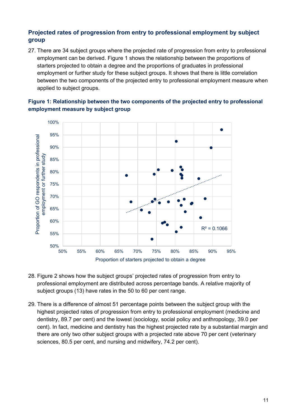#### **Projected rates of progression from entry to professional employment by subject group**

27. There are 34 subject groups where the projected rate of progression from entry to professional employment can be derived. Figure 1 shows the relationship between the proportions of starters projected to obtain a degree and the proportions of graduates in professional employment or further study for these subject groups. It shows that there is little correlation between the two components of the projected entry to professional employment measure when applied to subject groups.

#### **Figure 1: Relationship between the two components of the projected entry to professional employment measure by subject group**



- 28. Figure 2 shows how the subject groups' projected rates of progression from entry to professional employment are distributed across percentage bands. A relative majority of subject groups (13) have rates in the 50 to 60 per cent range.
- 29. There is a difference of almost 51 percentage points between the subject group with the highest projected rates of progression from entry to professional employment (medicine and dentistry, 89.7 per cent) and the lowest (sociology, social policy and anthropology, 39.0 per cent). In fact, medicine and dentistry has the highest projected rate by a substantial margin and there are only two other subject groups with a projected rate above 70 per cent (veterinary sciences, 80.5 per cent, and nursing and midwifery, 74.2 per cent).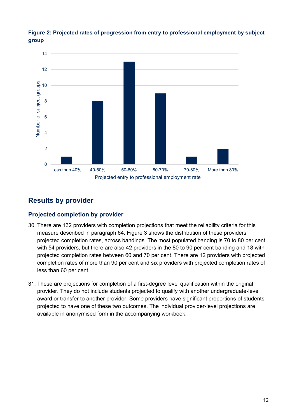

**Figure 2: Projected rates of progression from entry to professional employment by subject group**

## <span id="page-11-0"></span>**Results by provider**

#### **Projected completion by provider**

- 30. There are 132 providers with completion projections that meet the reliability criteria for this measure described in paragraph [64](#page-22-1). Figure 3 shows the distribution of these providers' projected completion rates, across bandings. The most populated banding is 70 to 80 per cent, with 54 providers, but there are also 42 providers in the 80 to 90 per cent banding and 18 with projected completion rates between 60 and 70 per cent. There are 12 providers with projected completion rates of more than 90 per cent and six providers with projected completion rates of less than 60 per cent.
- 31. These are projections for completion of a first-degree level qualification within the original provider. They do not include students projected to qualify with another undergraduate-level award or transfer to another provider. Some providers have significant proportions of students projected to have one of these two outcomes. The individual provider-level projections are available in anonymised form in the accompanying workbook.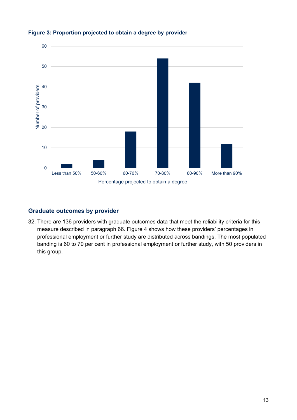

#### **Figure 3: Proportion projected to obtain a degree by provider**

#### **Graduate outcomes by provider**

32. There are 136 providers with graduate outcomes data that meet the reliability criteria for this measure described in paragraph [66.](#page-22-2) Figure 4 shows how these providers' percentages in professional employment or further study are distributed across bandings. The most populated banding is 60 to 70 per cent in professional employment or further study, with 50 providers in this group.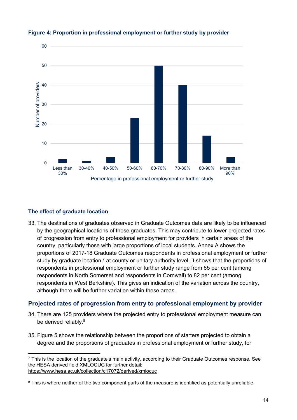

#### **Figure 4: Proportion in professional employment or further study by provider**

#### **The effect of graduate location**

33. The destinations of graduates observed in Graduate Outcomes data are likely to be influenced by the geographical locations of those graduates. This may contribute to lower projected rates of progression from entry to professional employment for providers in certain areas of the country, particularly those with large proportions of local students. Annex A shows the proportions of 2017-18 Graduate Outcomes respondents in professional employment or further study by graduate location,<sup>7</sup> at county or unitary authority level. It shows that the proportions of respondents in professional employment or further study range from 65 per cent (among respondents in North Somerset and respondents in Cornwall) to 82 per cent (among respondents in West Berkshire). This gives an indication of the variation across the country, although there will be further variation within these areas.

#### **Projected rates of progression from entry to professional employment by provider**

- 34. There are 125 providers where the projected entry to professional employment measure can be derived reliably.<sup>8</sup>
- 35. Figure 5 shows the relationship between the proportions of starters projected to obtain a degree and the proportions of graduates in professional employment or further study, for

<sup>7</sup> This is the location of the graduate's main activity, according to their Graduate Outcomes response. See the HESA derived field XMLOCUC for further detail: <https://www.hesa.ac.uk/collection/c17072/derived/xmlocuc>

<sup>&</sup>lt;sup>8</sup> This is where neither of the two component parts of the measure is identified as potentially unreliable.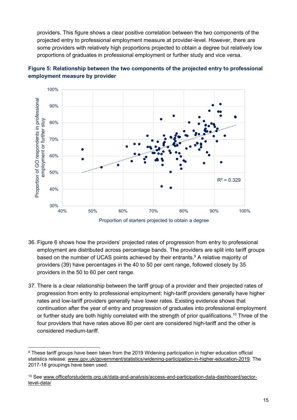providers. This figure shows a clear positive correlation between the two components of the projected entry to professional employment measure at provider-level. However, there are some providers with relatively high proportions projected to obtain a degree but relatively low proportions of graduates in professional employment or further study and vice versa.





- 36. Figure 6 shows how the providers' projected rates of progression from entry to professional employment are distributed across percentage bands. The providers are split into tariff groups based on the number of UCAS points achieved by their entrants.<sup>9</sup> A relative majority of providers (39) have percentages in the 40 to 50 per cent range, followed closely by 35 providers in the 50 to 60 per cent range.
- 37. There is a clear relationship between the tariff group of a provider and their projected rates of progression from entry to professional employment: high-tariff providers generally have higher rates and low-tariff providers generally have lower rates. Existing evidence shows that continuation after the year of entry and progression of graduates into professional employment or further study are both highly correlated with the strength of prior qualifications.<sup>10</sup> Three of the four providers that have rates above 80 per cent are considered high-tariff and the other is considered medium-tariff.

<sup>9</sup> These tariff groups have been taken from the 2019 Widening participation in higher education official statistics release: [www.gov.uk/government/statistics/widening-participation-in-higher-education-2019.](http://www.gov.uk/government/statistics/widening-participation-in-higher-education-2019) The 2017-18 groupings have been used.

<sup>10</sup> See [www.officeforstudents.org.uk/data-and-analysis/access-and-participation-data-dashboard/sector](http://www.officeforstudents.org.uk/data-and-analysis/access-and-participation-data-dashboard/sector-level-data/)[level-data/](http://www.officeforstudents.org.uk/data-and-analysis/access-and-participation-data-dashboard/sector-level-data/)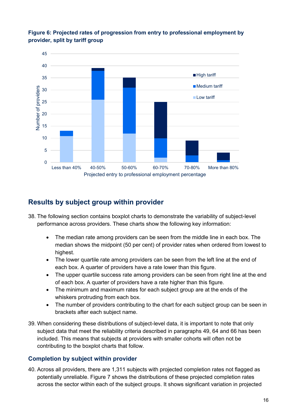



### <span id="page-15-0"></span>**Results by subject group within provider**

- 38. The following section contains boxplot charts to demonstrate the variability of subject-level performance across providers. These charts show the following key information:
	- The median rate among providers can be seen from the middle line in each box. The median shows the midpoint (50 per cent) of provider rates when ordered from lowest to highest.
	- The lower quartile rate among providers can be seen from the left line at the end of each box. A quarter of providers have a rate lower than this figure.
	- The upper quartile success rate among providers can be seen from right line at the end of each box. A quarter of providers have a rate higher than this figure.
	- The minimum and maximum rates for each subject group are at the ends of the whiskers protruding from each box.
	- The number of providers contributing to the chart for each subject group can be seen in brackets after each subject name.
- 39. When considering these distributions of subject-level data, it is important to note that only subject data that meet the reliability criteria described in paragraphs [49,](#page-19-2) [64](#page-22-1) and [66](#page-22-2) has been included. This means that subjects at providers with smaller cohorts will often not be contributing to the boxplot charts that follow.

#### **Completion by subject within provider**

40. Across all providers, there are 1,311 subjects with projected completion rates not flagged as potentially unreliable. Figure 7 shows the distributions of these projected completion rates across the sector within each of the subject groups. It shows significant variation in projected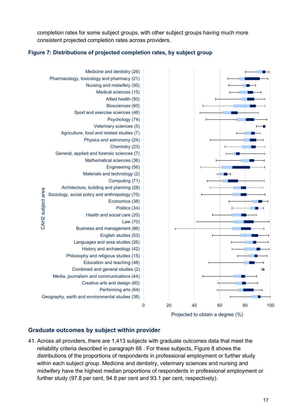completion rates for some subject groups, with other subject groups having much more consistent projected completion rates across providers.

#### **Figure 7: Distributions of projected completion rates, by subject group**



#### **Graduate outcomes by subject within provider**

41. Across all providers, there are 1,413 subjects with graduate outcomes data that meet the reliability criteria described in paragraph [66](#page-22-2) . For these subjects, Figure 8 shows the distributions of the proportions of respondents in professional employment or further study within each subject group. Medicine and dentistry, veterinary sciences and nursing and midwifery have the highest median proportions of respondents in professional employment or further study (97.8 per cent, 94.8 per cent and 93.1 per cent, respectively).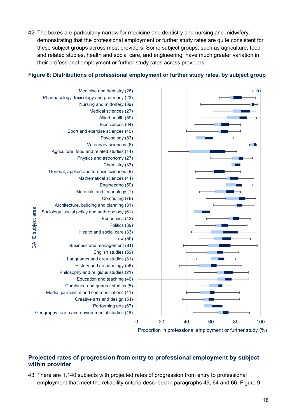42. The boxes are particularly narrow for medicine and dentistry and nursing and midwifery, demonstrating that the professional employment or further study rates are quite consistent for these subject groups across most providers. Some subject groups, such as agriculture, food and related studies, health and social care, and engineering, have much greater variation in their professional employment or further study rates across providers.

#### **Figure 8: Distributions of professional employment or further study rates, by subject group**



#### **Projected rates of progression from entry to professional employment by subject within provider**

43. There are 1,140 subjects with projected rates of progression from entry to professional employment that meet the reliability criteria described in paragraphs [49,](#page-19-2) [64](#page-22-1) and [66.](#page-22-2) Figure 9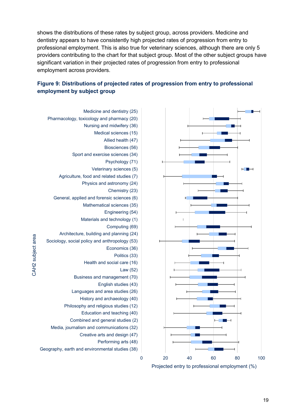shows the distributions of these rates by subject group, across providers. Medicine and dentistry appears to have consistently high projected rates of progression from entry to professional employment. This is also true for veterinary sciences, although there are only 5 providers contributing to the chart for that subject group. Most of the other subject groups have significant variation in their projected rates of progression from entry to professional employment across providers.

#### **Figure 9: Distributions of projected rates of progression from entry to professional employment by subject group**



- Medicine and dentistry (25) Pharmacology, toxicology and pharmacy (20) Nursing and midwifery (36) Medical sciences (15) Allied health (47) Biosciences (56) Sport and exercise sciences (34) Psychology (71) Veterinary sciences (5) Agriculture, food and related studies (7) Physics and astronomy (24) Chemistry (23) General, applied and forensic sciences (6) Mathematical sciences (35) Engineering (54) Materials and technology (1) Computing (69) Architecture, building and planning (24) Sociology, social policy and anthropology (53) Economics (36) Politics (33) Health and social care (16) Law (52) Business and management (70) English studies (43) Languages and area studies (26) History and archaeology (40) Philosophy and religious studies (12) Education and teaching (40) Combined and general studies (2) Media, journalism and communications (32) Creative arts and design (47) Performing arts (48) Geography, earth and environmental studies (38)
- CAH2 subject area CAH2 subject area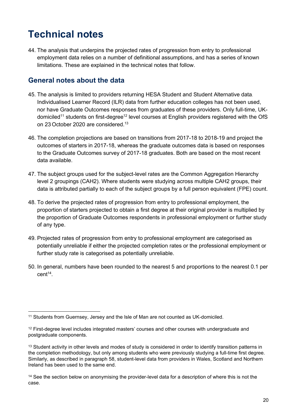# <span id="page-19-0"></span>**Technical notes**

44. The analysis that underpins the projected rates of progression from entry to professional employment data relies on a number of definitional assumptions, and has a series of known limitations. These are explained in the technical notes that follow.

### <span id="page-19-1"></span>**General notes about the data**

- 45. The analysis is limited to providers returning HESA Student and Student Alternative data. Individualised Learner Record (ILR) data from further education colleges has not been used, nor have Graduate Outcomes responses from graduates of these providers. Only full-time, UKdomiciled<sup>11</sup> students on first-degree<sup>12</sup> level courses at English providers registered with the OfS on 23 October 2020 are considered.<sup>13</sup>
- 46. The completion projections are based on transitions from 2017-18 to 2018-19 and project the outcomes of starters in 2017-18, whereas the graduate outcomes data is based on responses to the Graduate Outcomes survey of 2017-18 graduates. Both are based on the most recent data available.
- 47. The subject groups used for the subject-level rates are the Common Aggregation Hierarchy level 2 groupings (CAH2). Where students were studying across multiple CAH2 groups, their data is attributed partially to each of the subject groups by a full person equivalent (FPE) count.
- 48. To derive the projected rates of progression from entry to professional employment, the proportion of starters projected to obtain a first degree at their original provider is multiplied by the proportion of Graduate Outcomes respondents in professional employment or further study of any type.
- <span id="page-19-2"></span>49. Projected rates of progression from entry to professional employment are categorised as potentially unreliable if either the projected completion rates or the professional employment or further study rate is categorised as potentially unreliable.
- 50. In general, numbers have been rounded to the nearest 5 and proportions to the nearest 0.1 per cent<sup>14</sup> .

<sup>11</sup> Students from Guernsey, Jersey and the Isle of Man are not counted as UK-domiciled.

<sup>&</sup>lt;sup>12</sup> First-degree level includes integrated masters' courses and other courses with undergraduate and postgraduate components.

<sup>&</sup>lt;sup>13</sup> Student activity in other levels and modes of study is considered in order to identify transition patterns in the completion methodology, but only among students who were previously studying a full-time first degree. Similarly, as described in paragraph [58,](#page-20-1) student-level data from providers in Wales, Scotland and Northern Ireland has been used to the same end.

<sup>&</sup>lt;sup>14</sup> See the section below on anonymising the provider-level data for a description of where this is not the case.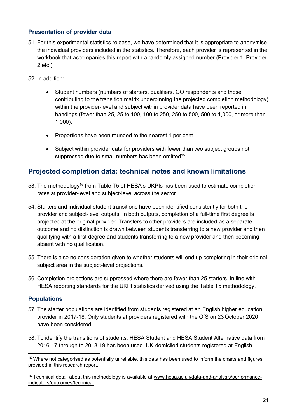#### **Presentation of provider data**

- 51. For this experimental statistics release, we have determined that it is appropriate to anonymise the individual providers included in the statistics. Therefore, each provider is represented in the workbook that accompanies this report with a randomly assigned number (Provider 1, Provider 2 etc.).
- 52. In addition:
	- Student numbers (numbers of starters, qualifiers, GO respondents and those contributing to the transition matrix underpinning the projected completion methodology) within the provider-level and subject within provider data have been reported in bandings (fewer than 25, 25 to 100, 100 to 250, 250 to 500, 500 to 1,000, or more than 1,000).
	- Proportions have been rounded to the nearest 1 per cent.
	- Subject within provider data for providers with fewer than two subject groups not suppressed due to small numbers has been omitted<sup>15</sup>.

### <span id="page-20-0"></span>**Projected completion data: technical notes and known limitations**

- 53. The methodology<sup>16</sup> from Table T5 of HESA's UKPIs has been used to estimate completion rates at provider-level and subject-level across the sector.
- 54. Starters and individual student transitions have been identified consistently for both the provider and subject-level outputs. In both outputs, completion of a full-time first degree is projected at the original provider. Transfers to other providers are included as a separate outcome and no distinction is drawn between students transferring to a new provider and then qualifying with a first degree and students transferring to a new provider and then becoming absent with no qualification.
- 55. There is also no consideration given to whether students will end up completing in their original subject area in the subject-level projections.
- 56. Completion projections are suppressed where there are fewer than 25 starters, in line with HESA reporting standards for the UKPI statistics derived using the Table T5 methodology.

#### **Populations**

- 57. The starter populations are identified from students registered at an English higher education provider in 2017-18. Only students at providers registered with the OfS on 23 October 2020 have been considered.
- <span id="page-20-1"></span>58. To identify the transitions of students, HESA Student and HESA Student Alternative data from 2016-17 through to 2018-19 has been used. UK-domiciled students registered at English

<sup>15</sup> Where not categorised as potentially unreliable, this data has been used to inform the charts and figures provided in this research report.

<sup>&</sup>lt;sup>16</sup> Technical detail about this methodology is available at [www.hesa.ac.uk/data-and-analysis/performance](http://www.hesa.ac.uk/data-and-analysis/performance-indicators/outcomes/technical)[indicators/outcomes/technical](http://www.hesa.ac.uk/data-and-analysis/performance-indicators/outcomes/technical)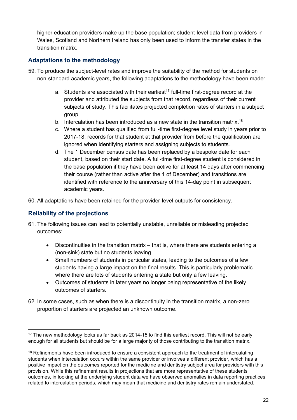higher education providers make up the base population; student-level data from providers in Wales, Scotland and Northern Ireland has only been used to inform the transfer states in the transition matrix.

#### **Adaptations to the methodology**

- 59. To produce the subject-level rates and improve the suitability of the method for students on non-standard academic years, the following adaptations to the methodology have been made:
	- a. Students are associated with their earliest<sup>17</sup> full-time first-degree record at the provider and attributed the subjects from that record, regardless of their current subjects of study. This facilitates projected completion rates of starters in a subject group.
	- b. Intercalation has been introduced as a new state in the transition matrix.<sup>18</sup>
	- c. Where a student has qualified from full-time first-degree level study in years prior to 2017-18, records for that student at that provider from before the qualification are ignored when identifying starters and assigning subjects to students.
	- d. The 1 December census date has been replaced by a bespoke date for each student, based on their start date. A full-time first-degree student is considered in the base population if they have been active for at least 14 days after commencing their course (rather than active after the 1 of December) and transitions are identified with reference to the anniversary of this 14-day point in subsequent academic years.
- 60. All adaptations have been retained for the provider-level outputs for consistency.

#### **Reliability of the projections**

- 61. The following issues can lead to potentially unstable, unreliable or misleading projected outcomes:
	- Discontinuities in the transition matrix that is, where there are students entering a (non-sink) state but no students leaving.
	- Small numbers of students in particular states, leading to the outcomes of a few students having a large impact on the final results. This is particularly problematic where there are lots of students entering a state but only a few leaving.
	- Outcomes of students in later years no longer being representative of the likely outcomes of starters.
- 62. In some cases, such as when there is a discontinuity in the transition matrix, a non-zero proportion of starters are projected an unknown outcome.

<sup>&</sup>lt;sup>17</sup> The new methodology looks as far back as 2014-15 to find this earliest record. This will not be early enough for all students but should be for a large majority of those contributing to the transition matrix.

<sup>&</sup>lt;sup>18</sup> Refinements have been introduced to ensure a consistent approach to the treatment of intercalating students when intercalation occurs within the same provider or involves a different provider, which has a positive impact on the outcomes reported for the medicine and dentistry subject area for providers with this provision. While this refinement results in projections that are more representative of these students' outcomes, in looking at the underlying student data we have observed anomalies in data reporting practices related to intercalation periods, which may mean that medicine and dentistry rates remain understated.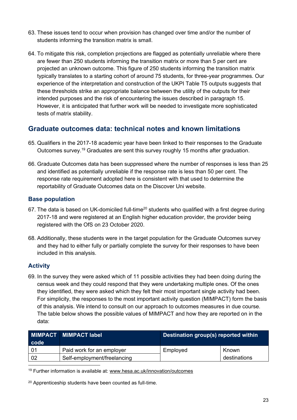- 63. These issues tend to occur when provision has changed over time and/or the number of students informing the transition matrix is small.
- <span id="page-22-1"></span>64. To mitigate this risk, completion projections are flagged as potentially unreliable where there are fewer than 250 students informing the transition matrix or more than 5 per cent are projected an unknown outcome. This figure of 250 students informing the transition matrix typically translates to a starting cohort of around 75 students, for three-year programmes. Our experience of the interpretation and construction of the UKPI Table T5 outputs suggests that these thresholds strike an appropriate balance between the utility of the outputs for their intended purposes and the risk of encountering the issues described in paragraph 15. However, it is anticipated that further work will be needed to investigate more sophisticated tests of matrix stability.

### <span id="page-22-0"></span>**Graduate outcomes data: technical notes and known limitations**

- 65. Qualifiers in the 2017-18 academic year have been linked to their responses to the Graduate Outcomes survey.<sup>19</sup> Graduates are sent this survey roughly 15 months after graduation.
- <span id="page-22-2"></span>66. Graduate Outcomes data has been suppressed where the number of responses is less than 25 and identified as potentially unreliable if the response rate is less than 50 per cent. The response rate requirement adopted here is consistent with that used to determine the reportability of Graduate Outcomes data on the Discover Uni website.

#### **Base population**

- 67. The data is based on UK-domiciled full-time<sup>20</sup> students who qualified with a first degree during 2017-18 and were registered at an English higher education provider, the provider being registered with the OfS on 23 October 2020.
- 68. Additionally, these students were in the target population for the Graduate Outcomes survey and they had to either fully or partially complete the survey for their responses to have been included in this analysis.

#### **Activity**

69. In the survey they were asked which of 11 possible activities they had been doing during the census week and they could respond that they were undertaking multiple ones. Of the ones they identified, they were asked which they felt their most important single activity had been. For simplicity, the responses to the most important activity question (MIMPACT) form the basis of this analysis. We intend to consult on our approach to outcomes measures in due course. The table below shows the possible values of MIMPACT and how they are reported on in the data:

| ∣ code l | MIMPACT MIMPACT label       | Destination group(s) reported within |              |  |
|----------|-----------------------------|--------------------------------------|--------------|--|
|          | Paid work for an employer   | Employed                             | Known        |  |
| 02       | Self-employment/freelancing |                                      | destinations |  |

<sup>19</sup> Further information is available at: [www.hesa.ac.uk/innovation/outcomes](http://www.hesa.ac.uk/innovation/outcomes)

<sup>20</sup> Apprenticeship students have been counted as full-time.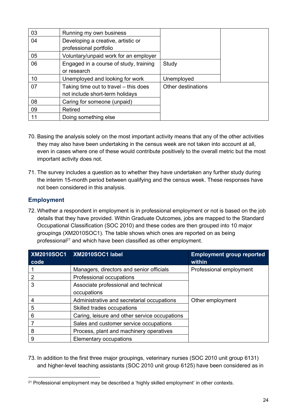| 03 | Running my own business                |                    |  |
|----|----------------------------------------|--------------------|--|
| 04 | Developing a creative, artistic or     |                    |  |
|    | professional portfolio                 |                    |  |
| 05 | Voluntary/unpaid work for an employer  |                    |  |
| 06 | Engaged in a course of study, training | Study              |  |
|    | or research                            |                    |  |
| 10 | Unemployed and looking for work        | Unemployed         |  |
| 07 | Taking time out to travel – this does  | Other destinations |  |
|    | not include short-term holidays        |                    |  |
| 08 | Caring for someone (unpaid)            |                    |  |
| 09 | Retired                                |                    |  |
| 11 | Doing something else                   |                    |  |

- 70. Basing the analysis solely on the most important activity means that any of the other activities they may also have been undertaking in the census week are not taken into account at all, even in cases where one of these would contribute positively to the overall metric but the most important activity does not.
- 71. The survey includes a question as to whether they have undertaken any further study during the interim 15-month period between qualifying and the census week. These responses have not been considered in this analysis.

#### **Employment**

72. Whether a respondent in employment is in professional employment or not is based on the job details that they have provided. Within Graduate Outcomes, jobs are mapped to the Standard Occupational Classification (SOC 2010) and these codes are then grouped into 10 major groupings (XM2010SOC1). The table shows which ones are reported on as being professional<sup>21</sup> and which have been classified as other employment.

| <b>XM2010SOC1</b><br>code | XM2010SOC1 label                              | <b>Employment group reported</b><br>within |
|---------------------------|-----------------------------------------------|--------------------------------------------|
|                           | Managers, directors and senior officials      | Professional employment                    |
| 2                         | Professional occupations                      |                                            |
| 3                         | Associate professional and technical          |                                            |
|                           | occupations                                   |                                            |
|                           | Administrative and secretarial occupations    | Other employment                           |
| 5                         | Skilled trades occupations                    |                                            |
| 6                         | Caring, leisure and other service occupations |                                            |
|                           | Sales and customer service occupations        |                                            |
| 8                         | Process, plant and machinery operatives       |                                            |
| 9                         | Elementary occupations                        |                                            |

73. In addition to the first three major groupings, veterinary nurses (SOC 2010 unit group 6131) and higher-level teaching assistants (SOC 2010 unit group 6125) have been considered as in

<sup>&</sup>lt;sup>21</sup> Professional employment may be described a 'highly skilled employment' in other contexts.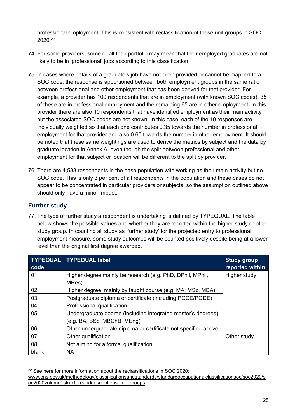professional employment. This is consistent with reclassification of these unit groups in SOC 2020. 22

- 74. For some providers, some or all their portfolio may mean that their employed graduates are not likely to be in 'professional' jobs according to this classification.
- 75. In cases where details of a graduate's job have not been provided or cannot be mapped to a SOC code, the response is apportioned between both employment groups in the same ratio between professional and other employment that has been derived for that provider. For example, a provider has 100 respondents that are in employment (with known SOC codes), 35 of these are in professional employment and the remaining 65 are in other employment. In this provider there are also 10 respondents that have identified employment as their main activity but the associated SOC codes are not known. In this case, each of the 10 responses are individually weighted so that each one contributes 0.35 towards the number in professional employment for that provider and also 0.65 towards the number in other employment. It should be noted that these same weightings are used to derive the metrics by subject and the data by graduate location in Annex A, even though the split between professional and other employment for that subject or location will be different to the split by provider.
- 76. There are 4,538 respondents in the base population with working as their main activity but no SOC code. This is only 3 per cent of all respondents in the population and these cases do not appear to be concentrated in particular providers or subjects, so the assumption outlined above should only have a minor impact.

#### **Further study**

77. The type of further study a respondent is undertaking is defined by TYPEQUAL. The table below shows the possible values and whether they are reported within the higher study or other study group. In counting all study as 'further study' for the projected entry to professional employment measure, some study outcomes will be counted positively despite being at a lower level than the original first degree awarded.

| code  | <b>TYPEQUAL TYPEQUAL label</b>                                                              | <b>Study group</b><br>reported within |
|-------|---------------------------------------------------------------------------------------------|---------------------------------------|
| 01    | Higher degree mainly be research (e.g. PhD, DPhil, MPhil,<br>MRes)                          | Higher study                          |
| 02    | Higher degree, mainly by taught course (e.g. MA, MSc, MBA)                                  |                                       |
| 03    | Postgraduate diploma or certificate (including PGCE/PGDE)                                   |                                       |
| 04    | Professional qualification                                                                  |                                       |
| 05    | Undergraduate degree (including integrated master's degrees)<br>(e.g. BA, BSc, MBChB, MEng) |                                       |
| 06    | Other undergraduate diploma or certificate not specified above                              |                                       |
| 07    | Other qualification                                                                         | Other study                           |
| 08    | Not aiming for a formal qualification                                                       |                                       |
| blank | <b>NA</b>                                                                                   |                                       |

<sup>&</sup>lt;sup>22</sup> See here for more information about the reclassifications in SOC 2020:

[www.ons.gov.uk/methodology/classificationsandstandards/standardoccupationalclassificationsoc/soc2020/s](http://www.ons.gov.uk/methodology/classificationsandstandards/standardoccupationalclassificationsoc/soc2020/soc2020volume1structureanddescriptionsofunitgroups) [oc2020volume1structureanddescriptionsofunitgroups](http://www.ons.gov.uk/methodology/classificationsandstandards/standardoccupationalclassificationsoc/soc2020/soc2020volume1structureanddescriptionsofunitgroups)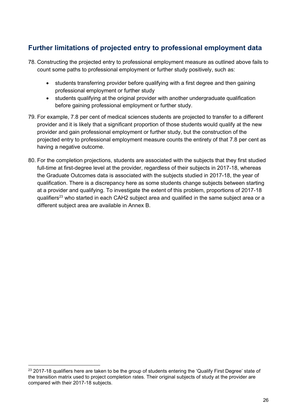## <span id="page-25-0"></span>**Further limitations of projected entry to professional employment data**

- 78. Constructing the projected entry to professional employment measure as outlined above fails to count some paths to professional employment or further study positively, such as:
	- students transferring provider before qualifying with a first degree and then gaining professional employment or further study
	- students qualifying at the original provider with another undergraduate qualification before gaining professional employment or further study.
- 79. For example, 7.8 per cent of medical sciences students are projected to transfer to a different provider and it is likely that a significant proportion of those students would qualify at the new provider and gain professional employment or further study, but the construction of the projected entry to professional employment measure counts the entirety of that 7.8 per cent as having a negative outcome.
- 80. For the completion projections, students are associated with the subjects that they first studied full-time at first-degree level at the provider, regardless of their subjects in 2017-18, whereas the Graduate Outcomes data is associated with the subjects studied in 2017-18, the year of qualification. There is a discrepancy here as some students change subjects between starting at a provider and qualifying. To investigate the extent of this problem, proportions of 2017-18 qualifiers<sup>23</sup> who started in each CAH2 subject area and qualified in the same subject area or a different subject area are available in Annex B.

<sup>&</sup>lt;sup>23</sup> 2017-18 qualifiers here are taken to be the group of students entering the 'Qualify First Degree' state of the transition matrix used to project completion rates. Their original subjects of study at the provider are compared with their 2017-18 subjects.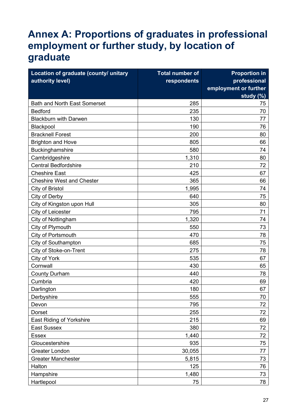# <span id="page-26-0"></span>**Annex A: Proportions of graduates in professional employment or further study, by location of graduate**

| Location of graduate (county/ unitary | <b>Total number of</b> | <b>Proportion in</b>  |
|---------------------------------------|------------------------|-----------------------|
| authority level)<br>respondents       |                        | professional          |
|                                       |                        | employment or further |
|                                       |                        | study (%)             |
| <b>Bath and North East Somerset</b>   | 285                    | 75                    |
| <b>Bedford</b>                        | 235                    | 70                    |
| <b>Blackburn with Darwen</b>          | 130                    | 77                    |
| Blackpool                             | 190                    | 76                    |
| <b>Bracknell Forest</b>               | 200                    | 80                    |
| <b>Brighton and Hove</b>              | 805                    | 66                    |
| Buckinghamshire                       | 580                    | 74                    |
| Cambridgeshire                        | 1,310                  | 80                    |
| <b>Central Bedfordshire</b>           | 210                    | 72                    |
| <b>Cheshire East</b>                  | 425                    | 67                    |
| <b>Cheshire West and Chester</b>      | 365                    | 66                    |
| City of Bristol                       | 1,995                  | 74                    |
| City of Derby                         | 640                    | 75                    |
| City of Kingston upon Hull            | 305                    | 80                    |
| City of Leicester                     | 795                    | 71                    |
| City of Nottingham                    | 1,320                  | 74                    |
| City of Plymouth                      | 550                    | 73                    |
| City of Portsmouth                    | 470                    | 78                    |
| <b>City of Southampton</b>            | 685                    | 75                    |
| City of Stoke-on-Trent                | 275                    | 78                    |
| City of York                          | 535                    | 67                    |
| Cornwall                              | 430                    | 65                    |
| <b>County Durham</b>                  | 440                    | 78                    |
| Cumbria                               | 420                    | 69                    |
| Darlington                            | 180                    | 67                    |
| Derbyshire                            | 555                    | 70                    |
| Devon                                 | 795                    | 72                    |
| Dorset                                | 255                    | 72                    |
| East Riding of Yorkshire              | 215                    | 69                    |
| <b>East Sussex</b>                    | 380                    | 72                    |
| <b>Essex</b>                          | 1,440                  | 72                    |
| Gloucestershire                       | 935                    | 75                    |
| <b>Greater London</b>                 | 30,055                 | 77                    |
| <b>Greater Manchester</b>             | 5,815                  | 73                    |
| Halton                                | 125                    | 76                    |
| Hampshire                             | 1,480                  | 73                    |
| Hartlepool                            | 75                     | 78                    |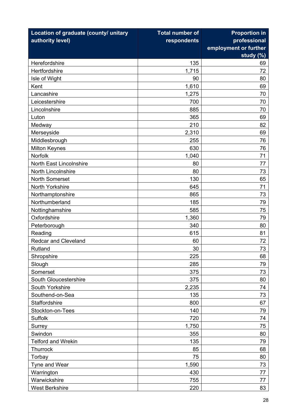| Location of graduate (county/ unitary | <b>Total number of</b> | <b>Proportion in</b>  |
|---------------------------------------|------------------------|-----------------------|
| authority level)                      | respondents            | professional          |
|                                       |                        | employment or further |
|                                       |                        | study $(\%)$          |
| Herefordshire                         | 135                    | 69                    |
| Hertfordshire                         | 1,715                  | 72                    |
| Isle of Wight                         | 90                     | 80                    |
| Kent                                  | 1,610                  | 69                    |
| Lancashire                            | 1,275                  | 70                    |
| Leicestershire                        | 700                    | 70                    |
| Lincolnshire                          | 885                    | 70                    |
| Luton                                 | 365                    | 69                    |
| Medway                                | 210                    | 82                    |
| Merseyside                            | 2,310                  | 69                    |
| Middlesbrough                         | 255                    | 76                    |
| <b>Milton Keynes</b>                  | 630                    | 76                    |
| Norfolk                               | 1,040                  | 71                    |
| <b>North East Lincolnshire</b>        | 80                     | 77                    |
| North Lincolnshire                    | 80                     | 73                    |
| <b>North Somerset</b>                 | 130                    | 65                    |
| North Yorkshire                       | 645                    | 71                    |
| Northamptonshire                      | 865                    | 73                    |
| Northumberland                        | 185                    | 79                    |
| Nottinghamshire                       | 585                    | 75                    |
| Oxfordshire                           | 1,360                  | 79                    |
| Peterborough                          | 340                    | 80                    |
| Reading                               | 615                    | 81                    |
| <b>Redcar and Cleveland</b>           | 60                     | 72                    |
| Rutland                               | 30                     | 73                    |
| Shropshire                            | 225                    | 68                    |
| Slough                                | 285                    | 79                    |
| Somerset                              | 375                    | 73                    |
| South Gloucestershire                 | 375                    | 80                    |
| South Yorkshire                       | 2,235                  | 74                    |
| Southend-on-Sea                       | 135                    | 73                    |
| Staffordshire                         | 800                    | 67                    |
| Stockton-on-Tees                      | 140                    | 79                    |
| <b>Suffolk</b>                        | 720                    | 74                    |
| Surrey                                | 1,750                  | 75                    |
| Swindon                               | 355                    | 80                    |
| <b>Telford and Wrekin</b>             | 135                    | 79                    |
| Thurrock                              | 85                     | 68                    |
| Torbay                                | 75                     | 80                    |
| Tyne and Wear                         | 1,590                  | 73                    |
| Warrington                            | 430                    | 77                    |
| Warwickshire                          | 755                    | 77                    |
| <b>West Berkshire</b>                 | 220                    | 83                    |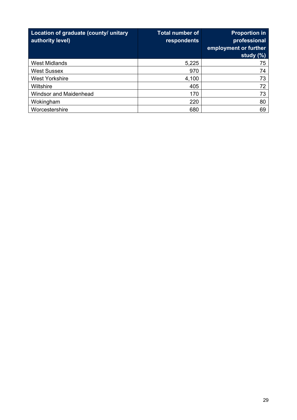| Location of graduate (county/ unitary<br>authority level) | <b>Total number of</b><br>respondents | <b>Proportion in</b><br>professional<br>employment or further<br>study $(\%)$ |
|-----------------------------------------------------------|---------------------------------------|-------------------------------------------------------------------------------|
| <b>West Midlands</b>                                      | 5,225                                 | 75                                                                            |
| <b>West Sussex</b>                                        | 970                                   | 74                                                                            |
| <b>West Yorkshire</b>                                     | 4,100                                 | 73                                                                            |
| <b>Wiltshire</b>                                          | 405                                   | 72                                                                            |
| <b>Windsor and Maidenhead</b>                             | 170                                   | 73                                                                            |
| Wokingham                                                 | 220                                   | 80                                                                            |
| Worcestershire                                            | 680                                   | 69                                                                            |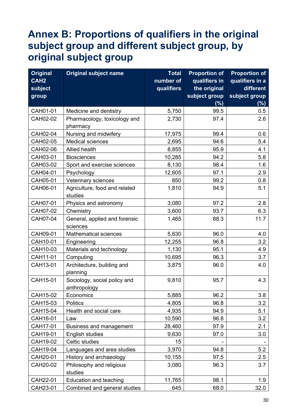# <span id="page-29-0"></span>**Annex B: Proportions of qualifiers in the original subject group and different subject group, by original subject group**

| <b>Original</b>  | <b>Original subject name</b>             | <b>Total</b> | <b>Proportion of</b> | <b>Proportion of</b> |
|------------------|------------------------------------------|--------------|----------------------|----------------------|
| CAH <sub>2</sub> |                                          | number of    | qualifiers in        | qualifiers in a      |
| subject          |                                          | qualifiers   | the original         | different            |
| group            |                                          |              | subject group        | subject group        |
|                  |                                          |              | (% )                 | $(\%)$               |
| CAH01-01         | Medicine and dentistry                   | 5,750        | 99.5                 | 0.5                  |
| CAH02-02         | Pharmacology, toxicology and             | 2,730        | 97.4                 | 2.6                  |
|                  | pharmacy                                 |              |                      |                      |
| CAH02-04         | Nursing and midwifery                    | 17,975       | 99.4                 | 0.6                  |
| CAH02-05         | <b>Medical sciences</b>                  | 2,695        | 94.6                 | 5.4                  |
| CAH02-06         | Allied health                            | 8,855        | 95.9                 | 4.1                  |
| CAH03-01         | <b>Biosciences</b>                       | 10,285       | 94.2                 | 5.8                  |
| CAH03-02         | Sport and exercise sciences              | 8,130        | 98.4                 | 1.6                  |
| CAH04-01         | Psychology                               | 12,605       | 97.1                 | 2.9                  |
| CAH05-01         | Veterinary sciences                      | 850          | 99.2                 | 0.8                  |
| CAH06-01         | Agriculture, food and related<br>studies | 1,810        | 94.9                 | 5.1                  |
| CAH07-01         | Physics and astronomy                    | 3,080        | 97.2                 | 2.8                  |
| CAH07-02         | Chemistry                                | 3,600        | 93.7                 | 6.3                  |
| CAH07-04         | General, applied and forensic            | 1,465        | 88.3                 | 11.7                 |
|                  | sciences                                 |              |                      |                      |
| CAH09-01         | <b>Mathematical sciences</b>             | 5,630        | 96.0                 | 4.0                  |
| CAH10-01         | Engineering                              | 12,255       | 96.8                 | 3.2                  |
| CAH10-03         | Materials and technology                 | 1,130        | 95.1                 | 4.9                  |
| CAH11-01         | Computing                                | 10,695       | 96.3                 | 3.7                  |
| CAH13-01         | Architecture, building and<br>planning   | 3,875        | 96.0                 | 4.0                  |
| CAH15-01         | Sociology, social policy and             | 9,810        | 95.7                 | 4.3                  |
|                  | anthropology                             |              |                      |                      |
| CAH15-02         | Economics                                | 5,885        | 96.2                 | 3.8                  |
| CAH15-03         | <b>Politics</b>                          | 4,805        | 96.8                 | 3.2                  |
| CAH15-04         | Health and social care                   | 4,935        | 94.9                 | 5.1                  |
| CAH16-01         | Law                                      | 10,590       | 96.8                 | 3.2                  |
| CAH17-01         | <b>Business and management</b>           | 28,460       | 97.9                 | 2.1                  |
| CAH19-01         | English studies                          | 9,630        | 97.0                 | 3.0                  |
| CAH19-02         | Celtic studies                           | 15           |                      |                      |
| CAH19-04         | Languages and area studies               | 3,970        | 94.8                 | 5.2                  |
| CAH20-01         | History and archaeology                  | 10,155       | 97.5                 | 2.5                  |
| CAH20-02         | Philosophy and religious                 | 3,080        | 96.3                 | 3.7                  |
|                  | studies                                  |              |                      |                      |
| CAH22-01         | Education and teaching                   | 11,765       | 98.1                 | 1.9                  |
| CAH23-01         | Combined and general studies             | 645          | 68.0                 | 32.0                 |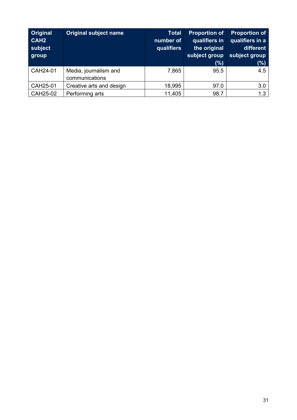| <b>Original</b><br>CAH <sub>2</sub><br>subject<br>group | <b>Original subject name</b>            | <b>Total</b><br>number of<br>qualifiers | <b>Proportion of</b><br>qualifiers in<br>the original<br>subject group<br>(%) | <b>Proportion of</b><br>qualifiers in a<br>different<br>subject group<br>(%) |
|---------------------------------------------------------|-----------------------------------------|-----------------------------------------|-------------------------------------------------------------------------------|------------------------------------------------------------------------------|
| CAH24-01                                                | Media, journalism and<br>communications | 7,865                                   | 95.5                                                                          | 4.5                                                                          |
| CAH25-01                                                | Creative arts and design                | 18,995                                  | 97.0                                                                          | 3.0                                                                          |
| CAH25-02                                                | Performing arts                         | 11,405                                  | 98.7                                                                          | 1.3                                                                          |